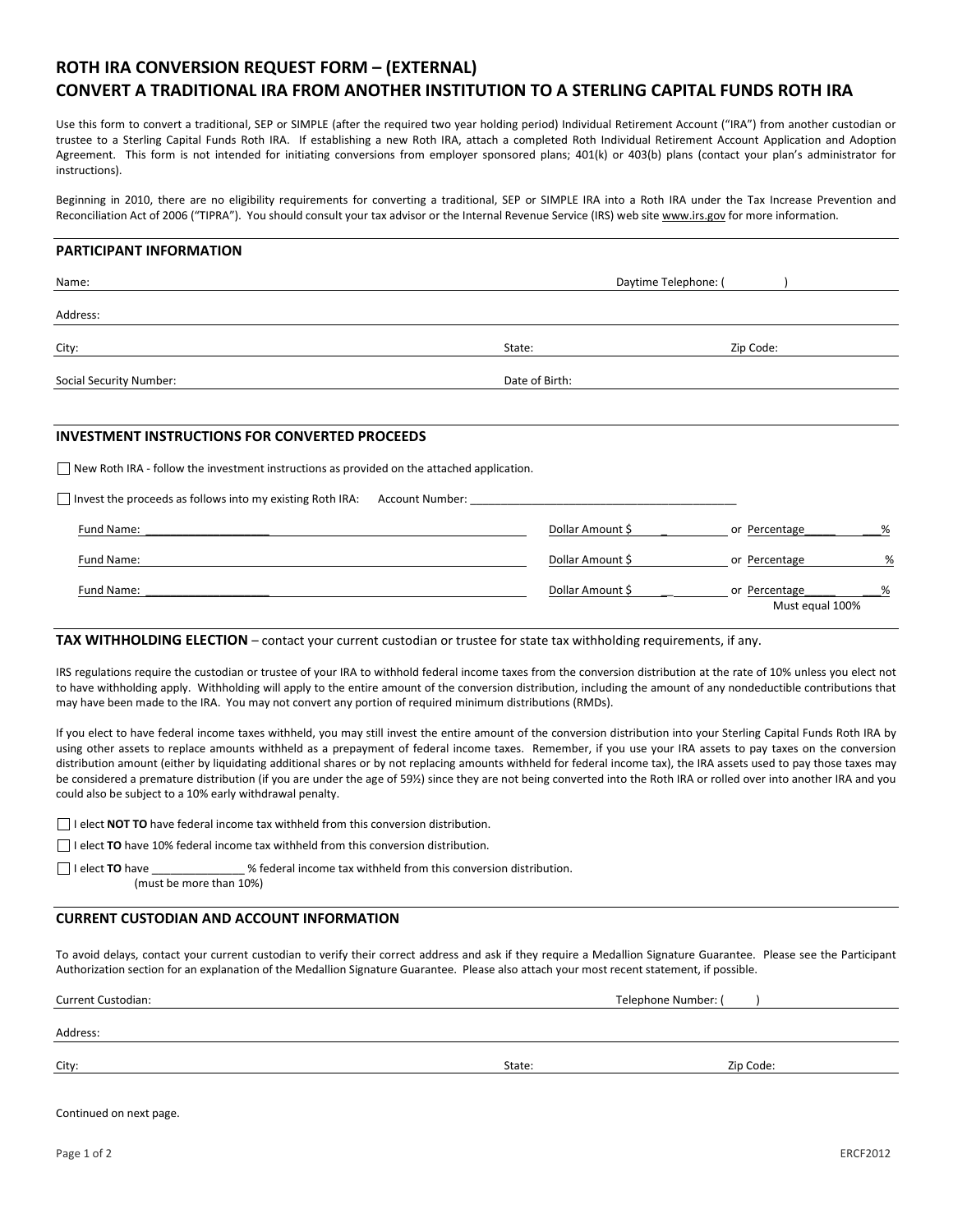## ROTH IRA CONVERSION REQUEST FORM – (EXTERNAL)

## CONVERT A TRADITIONAL IRA FROM ANOTHER INSTITUTION TO A STERLING CAPITAL FUNDS ROTH IRA

Use this form to convert a traditional, SEP or SIMPLE (after the required two year holding period) Individual Retirement Account ("IRA") from another custodian or trustee to a Sterling Capital Funds Roth IRA. If establishing a new Roth IRA, attach a completed Roth Individual Retirement Account Application and Adoption Agreement. This form is not intended for initiating conversions from employer sponsored plans; 401(k) or 403(b) plans (contact your plan's administrator for instructions).

Beginning in 2010, there are no eligibility requirements for converting a traditional, SEP or SIMPLE IRA into a Roth IRA under the Tax Increase Prevention and Reconciliation Act of 2006 ("TIPRA"). You should consult your tax advisor or the Internal Revenue Service (IRS) web site www.irs.gov for more information.

#### PARTICIPANT INFORMATION

| Name:                                                                                             |                 | Daytime Telephone: ( |
|---------------------------------------------------------------------------------------------------|-----------------|----------------------|
| Address:                                                                                          |                 |                      |
| City:                                                                                             | State:          | Zip Code:            |
| <b>Social Security Number:</b>                                                                    | Date of Birth:  |                      |
|                                                                                                   |                 |                      |
| <b>INVESTMENT INSTRUCTIONS FOR CONVERTED PROCEEDS</b>                                             |                 |                      |
| $\Box$ New Roth IRA - follow the investment instructions as provided on the attached application. |                 |                      |
| $\Box$ Invest the proceeds as follows into my existing Roth IRA:                                  | Account Number: |                      |

| Fund Name: | Dollar Amount \$ | %<br>or Percentage |   |
|------------|------------------|--------------------|---|
| Fund Name: | Dollar Amount \$ | or Percentage      | % |
| Fund Name: | Dollar Amount \$ | %<br>or Percentage |   |
|            |                  | Must equal 100%    |   |

#### TAX WITHHOLDING ELECTION – contact your current custodian or trustee for state tax withholding requirements, if any.

IRS regulations require the custodian or trustee of your IRA to withhold federal income taxes from the conversion distribution at the rate of 10% unless you elect not to have withholding apply. Withholding will apply to the entire amount of the conversion distribution, including the amount of any nondeductible contributions that may have been made to the IRA. You may not convert any portion of required minimum distributions (RMDs).

If you elect to have federal income taxes withheld, you may still invest the entire amount of the conversion distribution into your Sterling Capital Funds Roth IRA by using other assets to replace amounts withheld as a prepayment of federal income taxes. Remember, if you use your IRA assets to pay taxes on the conversion distribution amount (either by liquidating additional shares or by not replacing amounts withheld for federal income tax), the IRA assets used to pay those taxes may be considered a premature distribution (if you are under the age of 59½) since they are not being converted into the Roth IRA or rolled over into another IRA and you could also be subject to a 10% early withdrawal penalty.

 $\Box$  I elect **NOT TO** have federal income tax withheld from this conversion distribution.

 $\Box$  I elect TO have 10% federal income tax withheld from this conversion distribution.

I elect **TO** have  $\blacksquare$  is elect **TO** have  $\blacksquare$  withheld from this conversion distribution.

(must be more than 10%)

### CURRENT CUSTODIAN AND ACCOUNT INFORMATION

To avoid delays, contact your current custodian to verify their correct address and ask if they require a Medallion Signature Guarantee. Please see the Participant Authorization section for an explanation of the Medallion Signature Guarantee. Please also attach your most recent statement, if possible.

Current Custodian: Telephone Number: ( )

Address:

City: State: Zip Code:

Continued on next page.